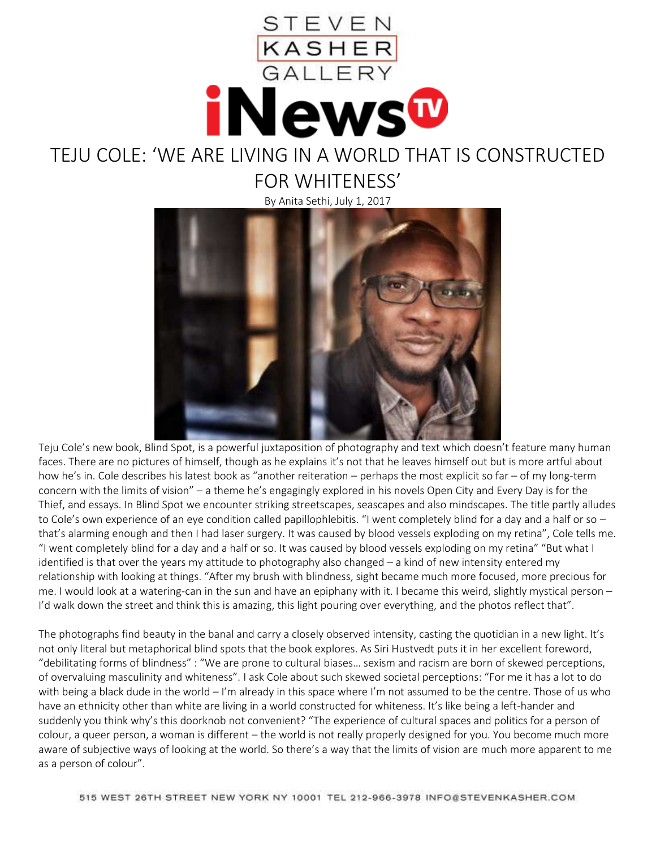

## TEJU COLE: 'WE ARE LIVING IN A WORLD THAT IS CONSTRUCTED FOR WHITENESS'

By Anita Sethi, July 1, 2017



Teju Cole's new book, Blind Spot, is a powerful juxtaposition of photography and text which doesn't feature many human faces. There are no pictures of himself, though as he explains it's not that he leaves himself out but is more artful about how he's in. Cole describes his latest book as "another reiteration – perhaps the most explicit so far – of my long-term concern with the limits of vision" – a theme he's engagingly explored in his novels Open City and Every Day is for the Thief, and essays. In Blind Spot we encounter striking streetscapes, seascapes and also mindscapes. The title partly alludes to Cole's own experience of an eye condition called papillophlebitis. "I went completely blind for a day and a half or so  $$ that's alarming enough and then I had laser surgery. It was caused by blood vessels exploding on my retina", Cole tells me. "I went completely blind for a day and a half or so. It was caused by blood vessels exploding on my retina" "But what I identified is that over the years my attitude to photography also changed – a kind of new intensity entered my relationship with looking at things. "After my brush with blindness, sight became much more focused, more precious for me. I would look at a watering-can in the sun and have an epiphany with it. I became this weird, slightly mystical person – I'd walk down the street and think this is amazing, this light pouring over everything, and the photos reflect that".

The photographs find beauty in the banal and carry a closely observed intensity, casting the quotidian in a new light. It's not only literal but metaphorical blind spots that the book explores. As Siri Hustvedt puts it in her excellent foreword, "debilitating forms of blindness" : "We are prone to cultural biases… sexism and racism are born of skewed perceptions, of overvaluing masculinity and whiteness". I ask Cole about such skewed societal perceptions: "For me it has a lot to do with being a black dude in the world  $-1$ 'm already in this space where I'm not assumed to be the centre. Those of us who have an ethnicity other than white are living in a world constructed for whiteness. It's like being a left-hander and suddenly you think why's this doorknob not convenient? "The experience of cultural spaces and politics for a person of colour, a queer person, a woman is different – the world is not really properly designed for you. You become much more aware of subjective ways of looking at the world. So there's a way that the limits of vision are much more apparent to me as a person of colour".